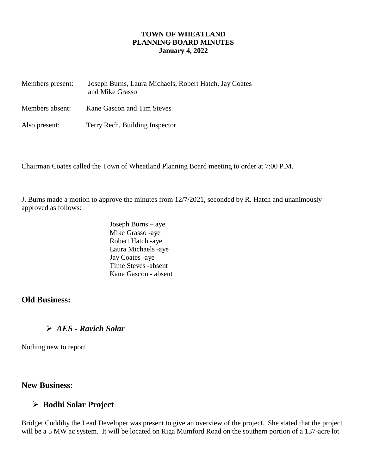#### **TOWN OF WHEATLAND PLANNING BOARD MINUTES January 4, 2022**

| Members present: | Joseph Burns, Laura Michaels, Robert Hatch, Jay Coates<br>and Mike Grasso |
|------------------|---------------------------------------------------------------------------|
| Members absent:  | Kane Gascon and Tim Steves                                                |
| Also present:    | Terry Rech, Building Inspector                                            |

Chairman Coates called the Town of Wheatland Planning Board meeting to order at 7:00 P.M.

J. Burns made a motion to approve the minutes from 12/7/2021, seconded by R. Hatch and unanimously approved as follows:

> Joseph Burns – aye Mike Grasso -aye Robert Hatch -aye Laura Michaels -aye Jay Coates -aye Time Steves -absent Kane Gascon - absent

### **Old Business:**

# *AES - Ravich Solar*

Nothing new to report

### **New Business:**

# **Bodhi Solar Project**

Bridget Cuddihy the Lead Developer was present to give an overview of the project. She stated that the project will be a 5 MW ac system. It will be located on Riga Mumford Road on the southern portion of a 137-acre lot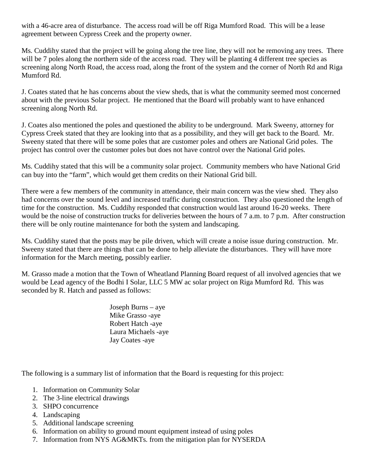with a 46-acre area of disturbance. The access road will be off Riga Mumford Road. This will be a lease agreement between Cypress Creek and the property owner.

Ms. Cuddihy stated that the project will be going along the tree line, they will not be removing any trees. There will be 7 poles along the northern side of the access road. They will be planting 4 different tree species as screening along North Road, the access road, along the front of the system and the corner of North Rd and Riga Mumford Rd.

J. Coates stated that he has concerns about the view sheds, that is what the community seemed most concerned about with the previous Solar project. He mentioned that the Board will probably want to have enhanced screening along North Rd.

J. Coates also mentioned the poles and questioned the ability to be underground. Mark Sweeny, attorney for Cypress Creek stated that they are looking into that as a possibility, and they will get back to the Board. Mr. Sweeny stated that there will be some poles that are customer poles and others are National Grid poles. The project has control over the customer poles but does not have control over the National Grid poles.

Ms. Cuddihy stated that this will be a community solar project. Community members who have National Grid can buy into the "farm", which would get them credits on their National Grid bill.

There were a few members of the community in attendance, their main concern was the view shed. They also had concerns over the sound level and increased traffic during construction. They also questioned the length of time for the construction. Ms. Cuddihy responded that construction would last around 16-20 weeks. There would be the noise of construction trucks for deliveries between the hours of 7 a.m. to 7 p.m. After construction there will be only routine maintenance for both the system and landscaping.

Ms. Cuddihy stated that the posts may be pile driven, which will create a noise issue during construction. Mr. Sweeny stated that there are things that can be done to help alleviate the disturbances. They will have more information for the March meeting, possibly earlier.

M. Grasso made a motion that the Town of Wheatland Planning Board request of all involved agencies that we would be Lead agency of the Bodhi I Solar, LLC 5 MW ac solar project on Riga Mumford Rd. This was seconded by R. Hatch and passed as follows:

> Joseph Burns – aye Mike Grasso -aye Robert Hatch -aye Laura Michaels -aye Jay Coates -aye

The following is a summary list of information that the Board is requesting for this project:

- 1. Information on Community Solar
- 2. The 3-line electrical drawings
- 3. SHPO concurrence
- 4. Landscaping
- 5. Additional landscape screening
- 6. Information on ability to ground mount equipment instead of using poles
- 7. Information from NYS AG&MKTs. from the mitigation plan for NYSERDA